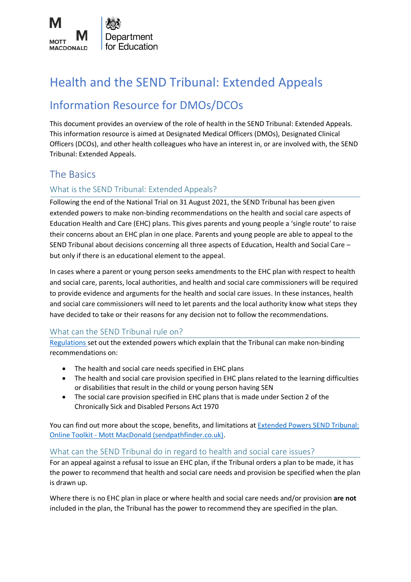

# Health and the SEND Tribunal: Extended Appeals

# Information Resource for DMOs/DCOs

This document provides an overview of the role of health in the SEND Tribunal: Extended Appeals. This information resource is aimed at Designated Medical Officers (DMOs), Designated Clinical Officers (DCOs), and other health colleagues who have an interest in, or are involved with, the SEND Tribunal: Extended Appeals.

# The Basics

# What is the SEND Tribunal: Extended Appeals?

Following the end of the National Trial on 31 August 2021, the SEND Tribunal has been given extended powers to make non-binding recommendations on the health and social care aspects of Education Health and Care (EHC) plans. This gives parents and young people a 'single route' to raise their concerns about an EHC plan in one place. Parents and young people are able to appeal to the SEND Tribunal about decisions concerning all three aspects of Education, Health and Social Care – but only if there is an educational element to the appeal.

In cases where a parent or young person seeks amendments to the EHC plan with respect to health and social care, parents, local authorities, and health and social care commissioners will be required to provide evidence and arguments for the health and social care issues. In these instances, health and social care commissioners will need to let parents and the local authority know what steps they have decided to take or their reasons for any decision not to follow the recommendations.

# What can the SEND Tribunal rule on?

[Regulations s](http://www.legislation.gov.uk/uksi/2017/1306/contents/made)et out the extended powers which explain that the Tribunal can make non-binding recommendations on:

- The health and social care needs specified in EHC plans
- The health and social care provision specified in EHC plans related to the learning difficulties or disabilities that result in the child or young person having SEN
- The social care provision specified in EHC plans that is made under Section 2 of the Chronically Sick and Disabled Persons Act 1970

You can find out more about the scope, benefits, and limitations a[t Extended Powers SEND Tribunal:](https://www.sendpathfinder.co.uk/single-route-of-redress)  Online Toolkit - [Mott MacDonald \(sendpathfinder.co.uk\).](https://www.sendpathfinder.co.uk/single-route-of-redress)

# What can the SEND Tribunal do in regard to health and social care issues?

For an appeal against a refusal to issue an EHC plan, if the Tribunal orders a plan to be made, it has the power to recommend that health and social care needs and provision be specified when the plan is drawn up.

Where there is no EHC plan in place or where health and social care needs and/or provision **are not**  included in the plan, the Tribunal has the power to recommend they are specified in the plan.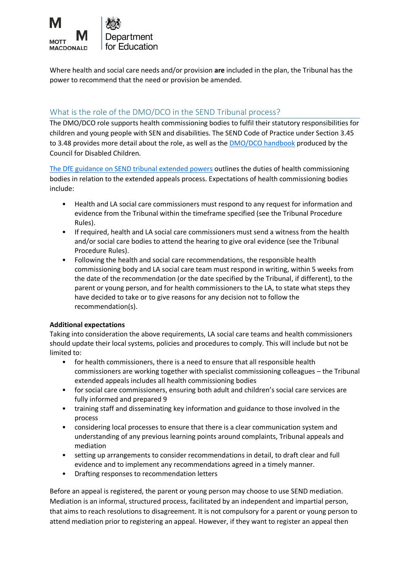

Where health and social care needs and/or provision **are** included in the plan, the Tribunal has the power to recommend that the need or provision be amended.

# What is the role of the DMO/DCO in the SEND Tribunal process?

The DMO/DCO role supports health commissioning bodies to fulfil their statutory responsibilities for children and young people with SEN and disabilities. The SEND Code of Practice under Section 3.45 to 3.48 provides more detail about the role, as well as th[e DMO/DCO handbook](https://councilfordisabledchildren.org.uk/sites/default/files/uploads/files/DMO%2520handbook%2520newest.pdf) produced by the Council for Disabled Children.

The DfE guidance [on SEND tribunal extended powers](https://www.gov.uk/government/publications/extended-powers-send-tribunal-national-trial) outlines the duties of health commissioning bodies in relation to the extended appeals process. Expectations of health commissioning bodies include:

- Health and LA social care commissioners must respond to any request for information and evidence from the Tribunal within the timeframe specified (see the Tribunal Procedure Rules).
- If required, health and LA social care commissioners must send a witness from the health and/or social care bodies to attend the hearing to give oral evidence (see the Tribunal Procedure Rules).
- Following the health and social care recommendations, the responsible health commissioning body and LA social care team must respond in writing, within 5 weeks from the date of the recommendation (or the date specified by the Tribunal, if different), to the parent or young person, and for health commissioners to the LA, to state what steps they have decided to take or to give reasons for any decision not to follow the recommendation(s).

# **Additional expectations**

Taking into consideration the above requirements, LA social care teams and health commissioners should update their local systems, policies and procedures to comply. This will include but not be limited to:

- for health commissioners, there is a need to ensure that all responsible health commissioners are working together with specialist commissioning colleagues – the Tribunal extended appeals includes all health commissioning bodies
- for social care commissioners, ensuring both adult and children's social care services are fully informed and prepared 9
- training staff and disseminating key information and guidance to those involved in the process
- considering local processes to ensure that there is a clear communication system and understanding of any previous learning points around complaints, Tribunal appeals and mediation
- setting up arrangements to consider recommendations in detail, to draft clear and full evidence and to implement any recommendations agreed in a timely manner.
- Drafting responses to recommendation letters

Before an appeal is registered, the parent or young person may choose to use SEND mediation. Mediation is an informal, structured process, facilitated by an independent and impartial person, that aims to reach resolutions to disagreement. It is not compulsory for a parent or young person to attend mediation prior to registering an appeal. However, if they want to register an appeal then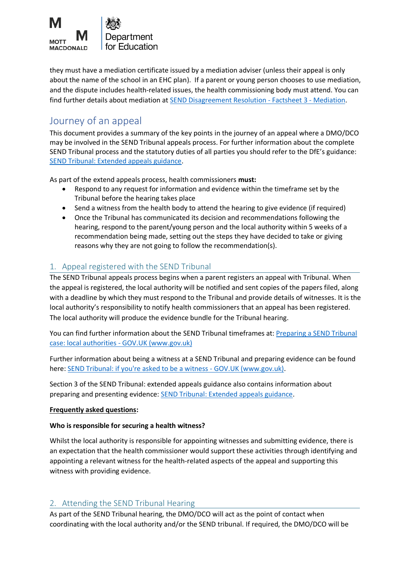

they must have a mediation certificate issued by a mediation adviser (unless their appeal is only about the name of the school in an EHC plan). If a parent or young person chooses to use mediation, and the dispute includes health-related issues, the health commissioning body must attend. You can find further details about mediation at [SEND Disagreement Resolution -](https://www.mottmac.com/download/save?id=40699&cultureid=127&filename=factsheet3mediationpdf) Factsheet 3 - Mediation.

# Journey of an appeal

This document provides a summary of the key points in the journey of an appeal where a DMO/DCO may be involved in the SEND Tribunal appeals process. For further information about the complete SEND Tribunal process and the statutory duties of all parties you should refer to the DfE's guidance: [SEND Tribunal: Extended appeals guidance.](https://www.gov.uk/government/publications/extended-powers-send-tribunal-national-trial)

As part of the extend appeals process, health commissioners **must:**

- Respond to any request for information and evidence within the timeframe set by the Tribunal before the hearing takes place
- Send a witness from the health body to attend the hearing to give evidence (if required)
- Once the Tribunal has communicated its decision and recommendations following the hearing, respond to the parent/young person and the local authority within 5 weeks of a recommendation being made, setting out the steps they have decided to take or giving reasons why they are not going to follow the recommendation(s).

# 1. Appeal registered with the SEND Tribunal

The SEND Tribunal appeals process begins when a parent registers an appeal with Tribunal. When the appeal is registered, the local authority will be notified and sent copies of the papers filed, along with a deadline by which they must respond to the Tribunal and provide details of witnesses. It is the local authority's responsibility to notify health commissioners that an appeal has been registered. The local authority will produce the evidence bundle for the Tribunal hearing.

You can find further information about the SEND Tribunal timeframes at: [Preparing a SEND Tribunal](https://www.gov.uk/guidance/preparing-a-send-tribunal-case-local-authorities)  [case: local authorities -](https://www.gov.uk/guidance/preparing-a-send-tribunal-case-local-authorities) GOV.UK (www.gov.uk)

Further information about being a witness at a SEND Tribunal and preparing evidence can be found here: SEND Tribunal: if you're asked to be a witness - GOV.UK (www.gov.uk).

Section 3 of the SEND Tribunal: extended appeals guidance also contains information about preparing and presenting evidence: [SEND Tribunal: Extended appeals guidance.](https://www.gov.uk/government/publications/extended-powers-send-tribunal-national-trial)

# **Frequently asked questions:**

# **Who is responsible for securing a health witness?**

Whilst the local authority is responsible for appointing witnesses and submitting evidence, there is an expectation that the health commissioner would support these activities through identifying and appointing a relevant witness for the health-related aspects of the appeal and supporting this witness with providing evidence.

# 2. Attending the SEND Tribunal Hearing

As part of the SEND Tribunal hearing, the DMO/DCO will act as the point of contact when coordinating with the local authority and/or the SEND tribunal. If required, the DMO/DCO will be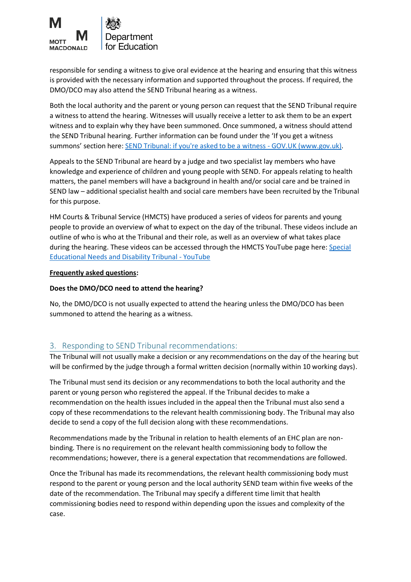

responsible for sending a witness to give oral evidence at the hearing and ensuring that this witness is provided with the necessary information and supported throughout the process. If required, the DMO/DCO may also attend the SEND Tribunal hearing as a witness.

Both the local authority and the parent or young person can request that the SEND Tribunal require a witness to attend the hearing. Witnesses will usually receive a letter to ask them to be an expert witness and to explain why they have been summoned. Once summoned, a witness should attend the SEND Tribunal hearing. Further information can be found under the 'If you get a witness summons' section here: **[SEND Tribunal: if you're asked to be a witness -](https://www.gov.uk/guidance/send-tribunal-if-youre-asked-to-be-a-witness) GOV.UK (www.gov.uk)**.

Appeals to the SEND Tribunal are heard by a judge and two specialist lay members who have knowledge and experience of children and young people with SEND. For appeals relating to health matters, the panel members will have a background in health and/or social care and be trained in SEND law – additional specialist health and social care members have been recruited by the Tribunal for this purpose.

HM Courts & Tribunal Service (HMCTS) have produced a series of videos for parents and young people to provide an overview of what to expect on the day of the tribunal. These videos include an outline of who is who at the Tribunal and their role, as well as an overview of what takes place during the hearing. These videos can be accessed through the HMCTS YouTube page here: [Special](https://www.youtube.com/playlist?list=PLORVvk_w75PxU3wF72j3jLYqGqISyMhZ4)  [Educational Needs and Disability Tribunal -](https://www.youtube.com/playlist?list=PLORVvk_w75PxU3wF72j3jLYqGqISyMhZ4) YouTube

#### **Frequently asked questions:**

### **Does the DMO/DCO need to attend the hearing?**

No, the DMO/DCO is not usually expected to attend the hearing unless the DMO/DCO has been summoned to attend the hearing as a witness.

# 3. Responding to SEND Tribunal recommendations:

The Tribunal will not usually make a decision or any recommendations on the day of the hearing but will be confirmed by the judge through a formal written decision (normally within 10 working days).

The Tribunal must send its decision or any recommendations to both the local authority and the parent or young person who registered the appeal. If the Tribunal decides to make a recommendation on the health issues included in the appeal then the Tribunal must also send a copy of these recommendations to the relevant health commissioning body. The Tribunal may also decide to send a copy of the full decision along with these recommendations.

Recommendations made by the Tribunal in relation to health elements of an EHC plan are nonbinding. There is no requirement on the relevant health commissioning body to follow the recommendations; however, there is a general expectation that recommendations are followed.

Once the Tribunal has made its recommendations, the relevant health commissioning body must respond to the parent or young person and the local authority SEND team within five weeks of the date of the recommendation. The Tribunal may specify a different time limit that health commissioning bodies need to respond within depending upon the issues and complexity of the case.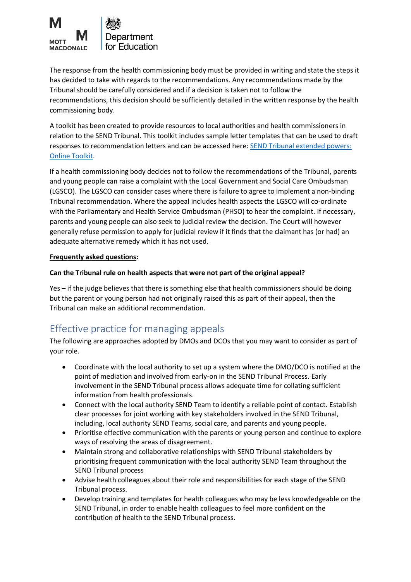

The response from the health commissioning body must be provided in writing and state the steps it has decided to take with regards to the recommendations. Any recommendations made by the Tribunal should be carefully considered and if a decision is taken not to follow the recommendations, this decision should be sufficiently detailed in the written response by the health commissioning body.

A toolkit has been created to provide resources to local authorities and health commissioners in relation to the SEND Tribunal. This toolkit includes sample letter templates that can be used to draft responses to recommendation letters and can be accessed here: [SEND Tribunal extended powers:](https://www.sendpathfinder.co.uk/send-single-route-of-redress-national-trial)  [Online Toolkit.](https://www.sendpathfinder.co.uk/send-single-route-of-redress-national-trial)

If a health commissioning body decides not to follow the recommendations of the Tribunal, parents and young people can raise a complaint with the Local Government and Social Care Ombudsman (LGSCO). The LGSCO can consider cases where there is failure to agree to implement a non-binding Tribunal recommendation. Where the appeal includes health aspects the LGSCO will co-ordinate with the Parliamentary and Health Service Ombudsman (PHSO) to hear the complaint. If necessary, parents and young people can also seek to judicial review the decision. The Court will however generally refuse permission to apply for judicial review if it finds that the claimant has (or had) an adequate alternative remedy which it has not used.

### **Frequently asked questions:**

### **Can the Tribunal rule on health aspects that were not part of the original appeal?**

Yes – if the judge believes that there is something else that health commissioners should be doing but the parent or young person had not originally raised this as part of their appeal, then the Tribunal can make an additional recommendation.

# Effective practice for managing appeals

The following are approaches adopted by DMOs and DCOs that you may want to consider as part of your role.

- Coordinate with the local authority to set up a system where the DMO/DCO is notified at the point of mediation and involved from early-on in the SEND Tribunal Process. Early involvement in the SEND Tribunal process allows adequate time for collating sufficient information from health professionals.
- Connect with the local authority SEND Team to identify a reliable point of contact. Establish clear processes for joint working with key stakeholders involved in the SEND Tribunal, including, local authority SEND Teams, social care, and parents and young people.
- Prioritise effective communication with the parents or young person and continue to explore ways of resolving the areas of disagreement.
- Maintain strong and collaborative relationships with SEND Tribunal stakeholders by prioritising frequent communication with the local authority SEND Team throughout the SEND Tribunal process
- Advise health colleagues about their role and responsibilities for each stage of the SEND Tribunal process.
- Develop training and templates for health colleagues who may be less knowledgeable on the SEND Tribunal, in order to enable health colleagues to feel more confident on the contribution of health to the SEND Tribunal process.